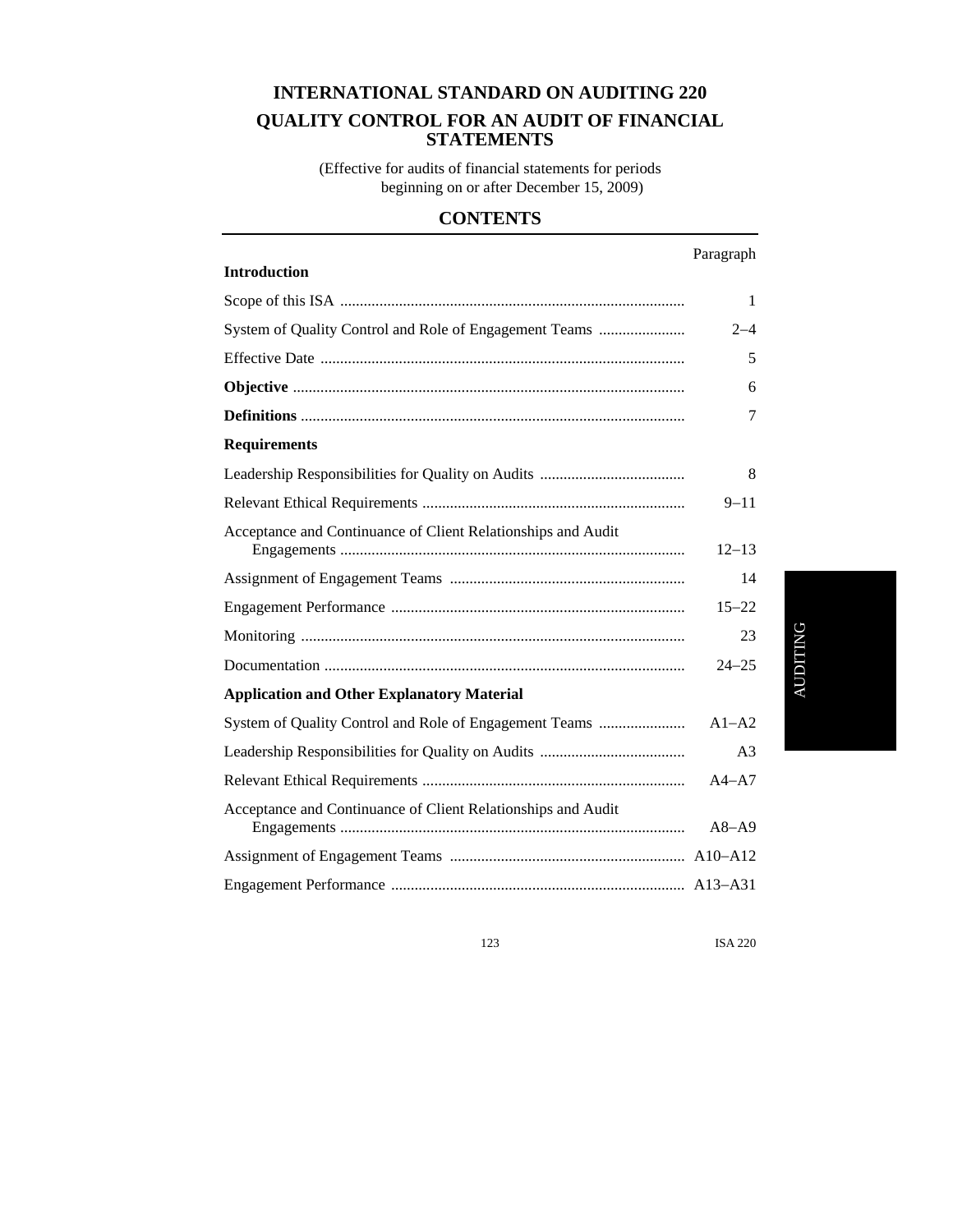# **INTERNATIONAL STANDARD ON AUDITING 220 QUALITY CONTROL FOR AN AUDIT OF FINANCIAL STATEMENTS**

(Effective for audits of financial statements for periods beginning on or after December 15, 2009)

## **CONTENTS**

| <b>Introduction</b>                                          | Paragraph      |  |  |
|--------------------------------------------------------------|----------------|--|--|
|                                                              | 1              |  |  |
| System of Quality Control and Role of Engagement Teams       | $2 - 4$        |  |  |
|                                                              | 5              |  |  |
|                                                              | 6              |  |  |
|                                                              | 7              |  |  |
| <b>Requirements</b>                                          |                |  |  |
|                                                              | 8              |  |  |
|                                                              | $9 - 11$       |  |  |
| Acceptance and Continuance of Client Relationships and Audit | $12 - 13$      |  |  |
|                                                              | 14             |  |  |
|                                                              | $15 - 22$      |  |  |
|                                                              | 23             |  |  |
|                                                              |                |  |  |
| <b>Application and Other Explanatory Material</b>            |                |  |  |
| System of Quality Control and Role of Engagement Teams       | $A1-A2$        |  |  |
|                                                              | A <sub>3</sub> |  |  |
|                                                              | $A4 - A7$      |  |  |
| Acceptance and Continuance of Client Relationships and Audit | $A8 - A9$      |  |  |
|                                                              |                |  |  |
|                                                              |                |  |  |
|                                                              |                |  |  |

**AUDITING** AUDITING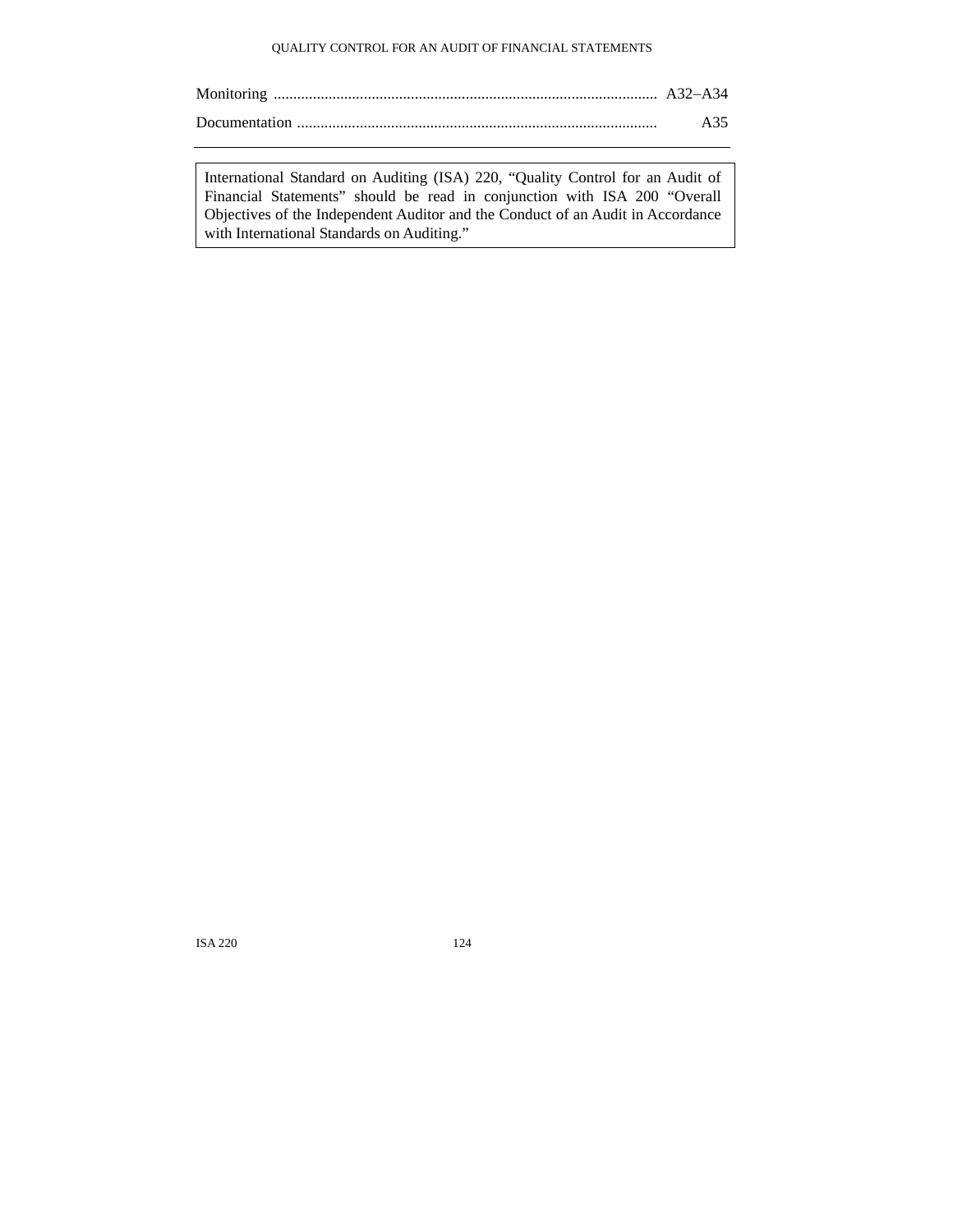#### QUALITY CONTROL FOR AN AUDIT OF FINANCIAL STATEMENTS

| A35 |
|-----|

International Standard on Auditing (ISA) 220, "Quality Control for an Audit of Financial Statements" should be read in conjunction with ISA 200 "Overall Objectives of the Independent Auditor and the Conduct of an Audit in Accordance with International Standards on Auditing."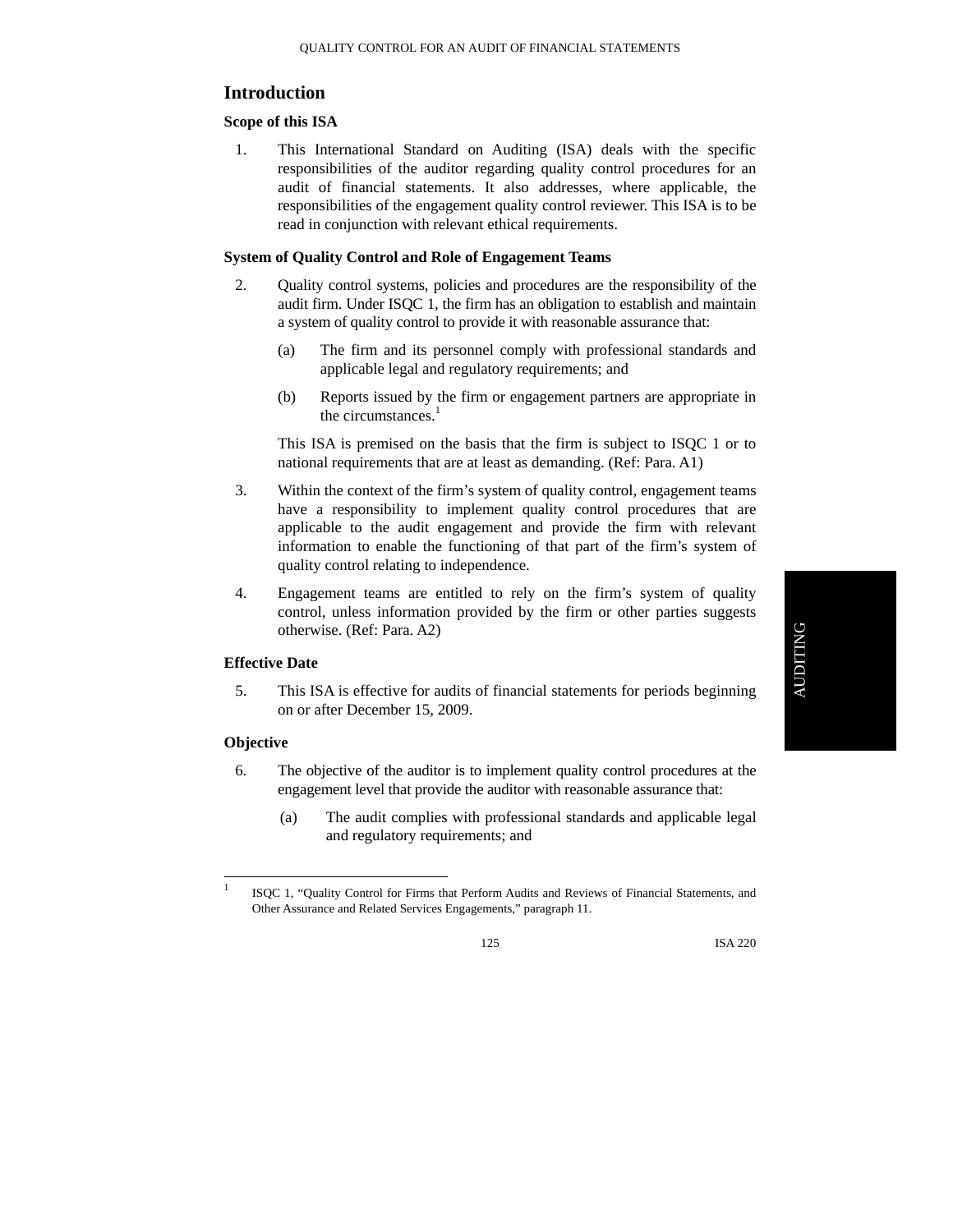## **Introduction**

## **Scope of this ISA**

1. This International Standard on Auditing (ISA) deals with the specific responsibilities of the auditor regarding quality control procedures for an audit of financial statements. It also addresses, where applicable, the responsibilities of the engagement quality control reviewer. This ISA is to be read in conjunction with relevant ethical requirements.

## **System of Quality Control and Role of Engagement Teams**

- 2. Quality control systems, policies and procedures are the responsibility of the audit firm. Under ISQC 1, the firm has an obligation to establish and maintain a system of quality control to provide it with reasonable assurance that:
	- (a) The firm and its personnel comply with professional standards and applicable legal and regulatory requirements; and
	- (b) Reports issued by the firm or engagement partners are appropriate in the circumstances. $<sup>1</sup>$ </sup>

 This ISA is premised on the basis that the firm is subject to ISQC 1 or to national requirements that are at least as demanding. (Ref: Para. A1)

- 3. Within the context of the firm's system of quality control, engagement teams have a responsibility to implement quality control procedures that are applicable to the audit engagement and provide the firm with relevant information to enable the functioning of that part of the firm's system of quality control relating to independence.
- 4. Engagement teams are entitled to rely on the firm's system of quality control, unless information provided by the firm or other parties suggests otherwise. (Ref: Para. A2)

## **Effective Date**

5. This ISA is effective for audits of financial statements for periods beginning on or after December 15, 2009.

#### **Objective**

- 6. The objective of the auditor is to implement quality control procedures at the engagement level that provide the auditor with reasonable assurance that:
	- (a) The audit complies with professional standards and applicable legal and regulatory requirements; and

125 ISA 220

AUDITING

 $\frac{1}{1}$  ISQC 1, "Quality Control for Firms that Perform Audits and Reviews of Financial Statements, and Other Assurance and Related Services Engagements," paragraph 11.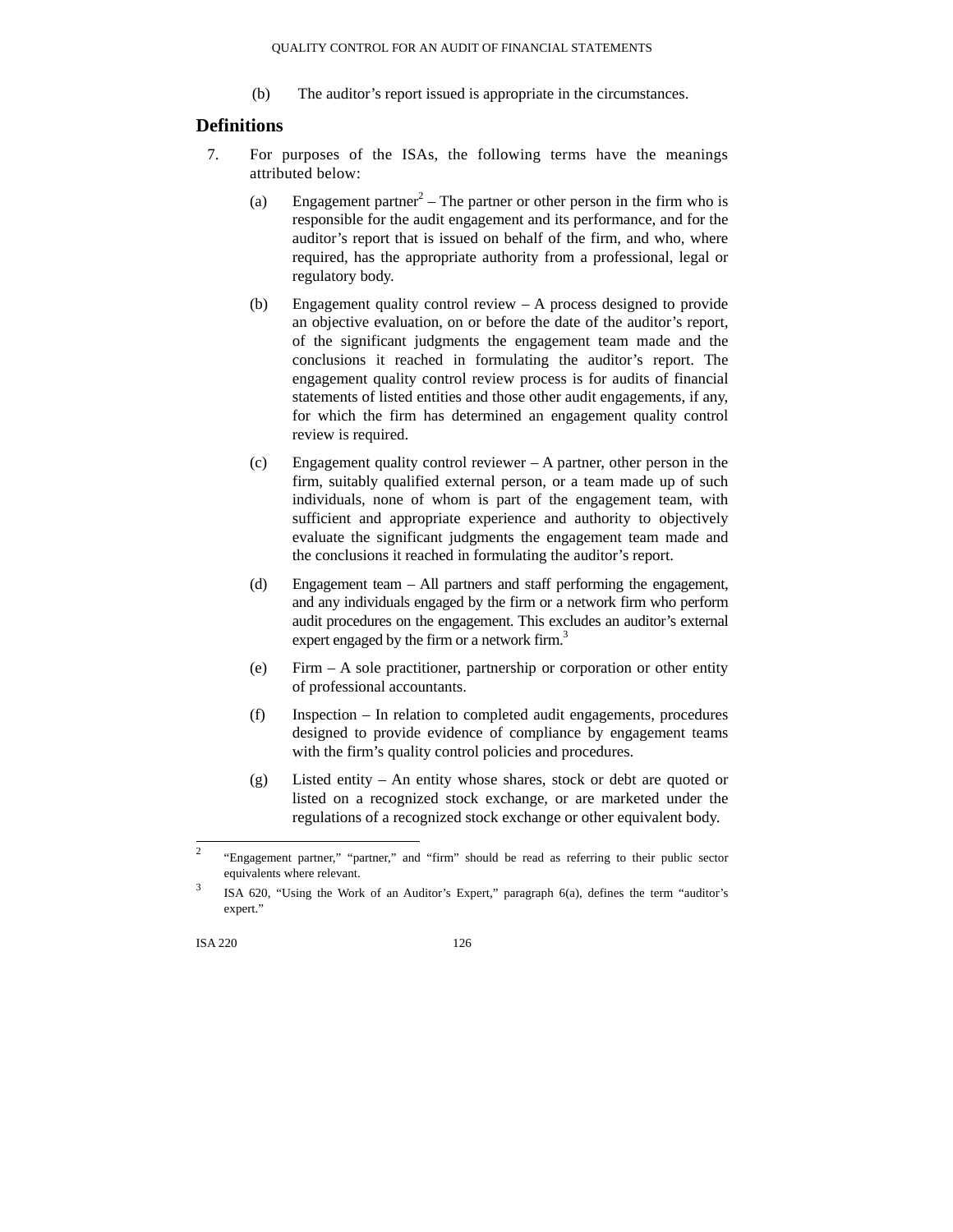(b) The auditor's report issued is appropriate in the circumstances.

## **Definitions**

- 7. For purposes of the ISAs, the following terms have the meanings attributed below:
	- (a) Engagement partner<sup>2</sup> The partner or other person in the firm who is responsible for the audit engagement and its performance, and for the auditor's report that is issued on behalf of the firm, and who, where required, has the appropriate authority from a professional, legal or regulatory body.
	- (b) Engagement quality control review A process designed to provide an objective evaluation, on or before the date of the auditor's report, of the significant judgments the engagement team made and the conclusions it reached in formulating the auditor's report. The engagement quality control review process is for audits of financial statements of listed entities and those other audit engagements, if any, for which the firm has determined an engagement quality control review is required.
	- (c) Engagement quality control reviewer A partner, other person in the firm, suitably qualified external person, or a team made up of such individuals, none of whom is part of the engagement team, with sufficient and appropriate experience and authority to objectively evaluate the significant judgments the engagement team made and the conclusions it reached in formulating the auditor's report.
	- (d) Engagement team All partners and staff performing the engagement, and any individuals engaged by the firm or a network firm who perform audit procedures on the engagement. This excludes an auditor's external expert engaged by the firm or a network firm.<sup>3</sup>
	- (e) Firm A sole practitioner, partnership or corporation or other entity of professional accountants.
	- (f) Inspection In relation to completed audit engagements, procedures designed to provide evidence of compliance by engagement teams with the firm's quality control policies and procedures.
	- (g) Listed entity An entity whose shares, stock or debt are quoted or listed on a recognized stock exchange, or are marketed under the regulations of a recognized stock exchange or other equivalent body.

 $\frac{1}{2}$  "Engagement partner," "partner," and "firm" should be read as referring to their public sector equivalents where relevant.

<sup>3</sup> ISA 620, "Using the Work of an Auditor's Expert," paragraph 6(a), defines the term "auditor's expert."

ISA 220 126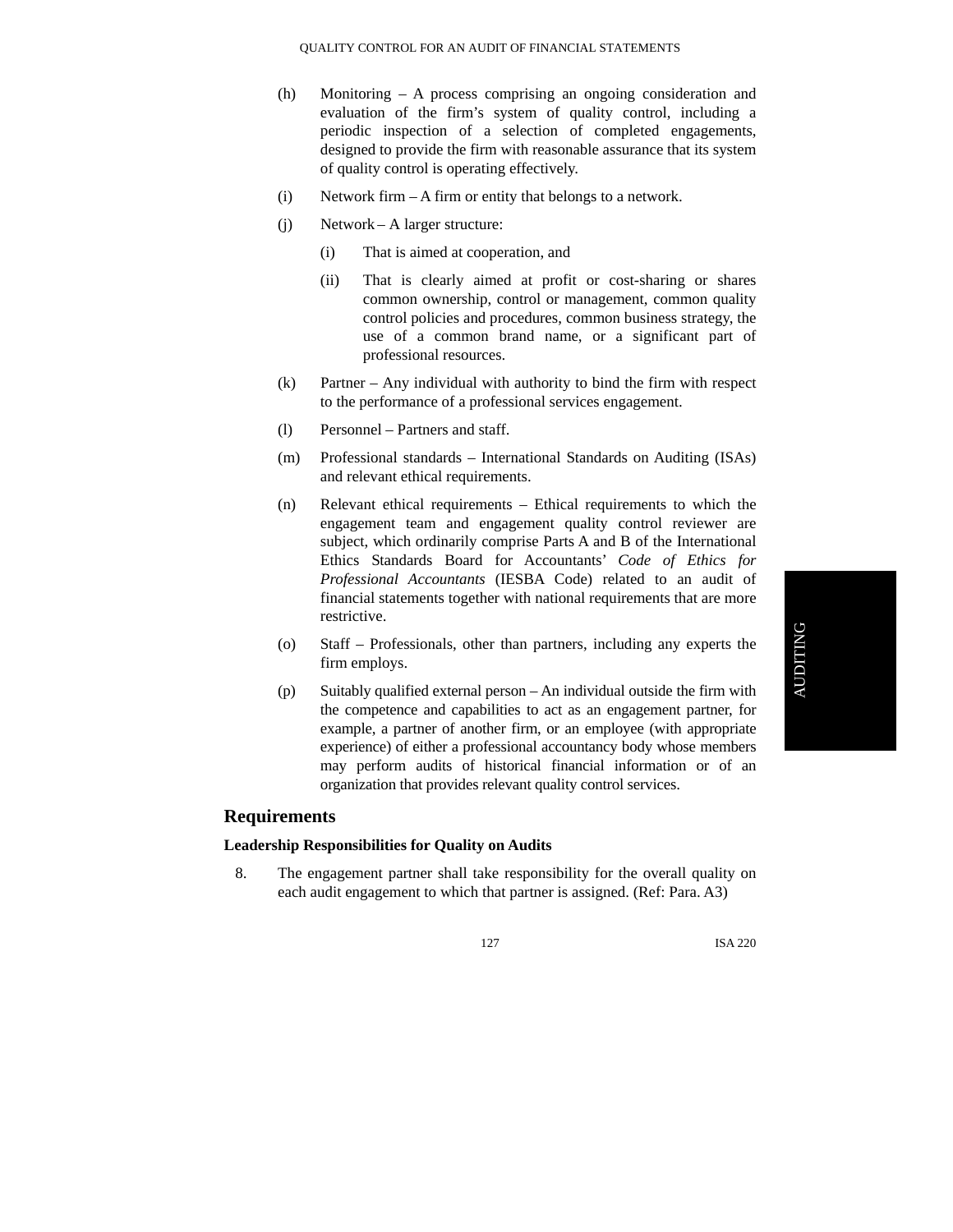- (h) Monitoring A process comprising an ongoing consideration and evaluation of the firm's system of quality control, including a periodic inspection of a selection of completed engagements, designed to provide the firm with reasonable assurance that its system of quality control is operating effectively.
- (i) Network firm A firm or entity that belongs to a network.
- (j) Network A larger structure:
	- (i) That is aimed at cooperation, and
	- (ii) That is clearly aimed at profit or cost-sharing or shares common ownership, control or management, common quality control policies and procedures, common business strategy, the use of a common brand name, or a significant part of professional resources.
- (k) Partner Any individual with authority to bind the firm with respect to the performance of a professional services engagement.
- (l) Personnel Partners and staff.
- (m) Professional standards International Standards on Auditing (ISAs) and relevant ethical requirements.
- (n) Relevant ethical requirements Ethical requirements to which the engagement team and engagement quality control reviewer are subject, which ordinarily comprise Parts A and B of the International Ethics Standards Board for Accountants' *Code of Ethics for Professional Accountants* (IESBA Code) related to an audit of financial statements together with national requirements that are more restrictive.
- (o) Staff Professionals, other than partners, including any experts the firm employs.
- (p) Suitably qualified external person An individual outside the firm with the competence and capabilities to act as an engagement partner, for example, a partner of another firm, or an employee (with appropriate experience) of either a professional accountancy body whose members may perform audits of historical financial information or of an organization that provides relevant quality control services.

## **Requirements**

#### **Leadership Responsibilities for Quality on Audits**

8. The engagement partner shall take responsibility for the overall quality on each audit engagement to which that partner is assigned. (Ref: Para. A3)

127 ISA 220

AUDITING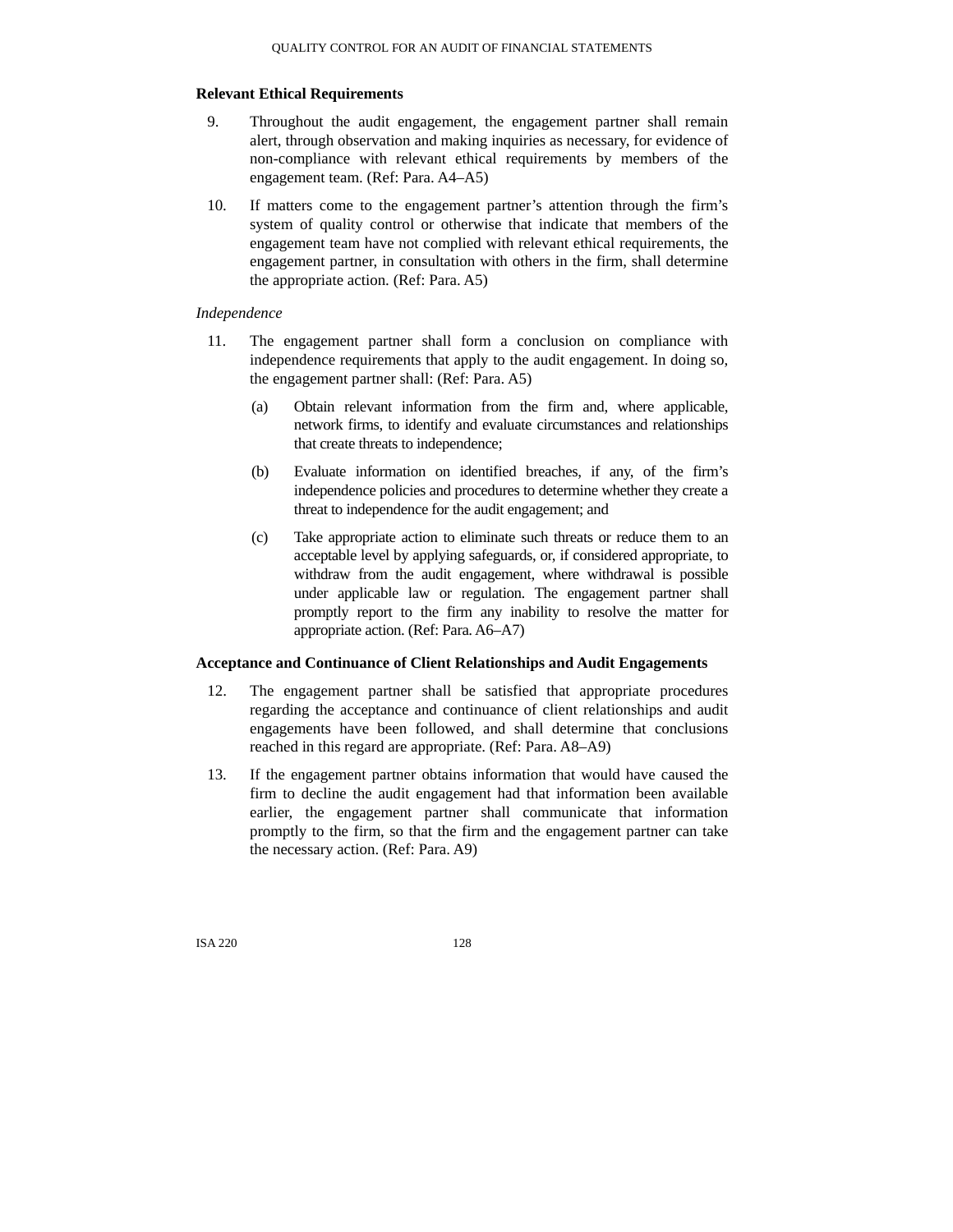#### **Relevant Ethical Requirements**

- 9. Throughout the audit engagement, the engagement partner shall remain alert, through observation and making inquiries as necessary, for evidence of non-compliance with relevant ethical requirements by members of the engagement team. (Ref: Para. A4–A5)
- 10. If matters come to the engagement partner's attention through the firm's system of quality control or otherwise that indicate that members of the engagement team have not complied with relevant ethical requirements, the engagement partner, in consultation with others in the firm, shall determine the appropriate action. (Ref: Para. A5)

### *Independence*

- 11. The engagement partner shall form a conclusion on compliance with independence requirements that apply to the audit engagement. In doing so, the engagement partner shall: (Ref: Para. A5)
	- (a) Obtain relevant information from the firm and, where applicable, network firms, to identify and evaluate circumstances and relationships that create threats to independence;
	- (b) Evaluate information on identified breaches, if any, of the firm's independence policies and procedures to determine whether they create a threat to independence for the audit engagement; and
	- (c) Take appropriate action to eliminate such threats or reduce them to an acceptable level by applying safeguards, or, if considered appropriate, to withdraw from the audit engagement, where withdrawal is possible under applicable law or regulation. The engagement partner shall promptly report to the firm any inability to resolve the matter for appropriate action. (Ref: Para. A6–A7)

#### **Acceptance and Continuance of Client Relationships and Audit Engagements**

- 12. The engagement partner shall be satisfied that appropriate procedures regarding the acceptance and continuance of client relationships and audit engagements have been followed, and shall determine that conclusions reached in this regard are appropriate. (Ref: Para. A8–A9)
- 13. If the engagement partner obtains information that would have caused the firm to decline the audit engagement had that information been available earlier, the engagement partner shall communicate that information promptly to the firm, so that the firm and the engagement partner can take the necessary action. (Ref: Para. A9)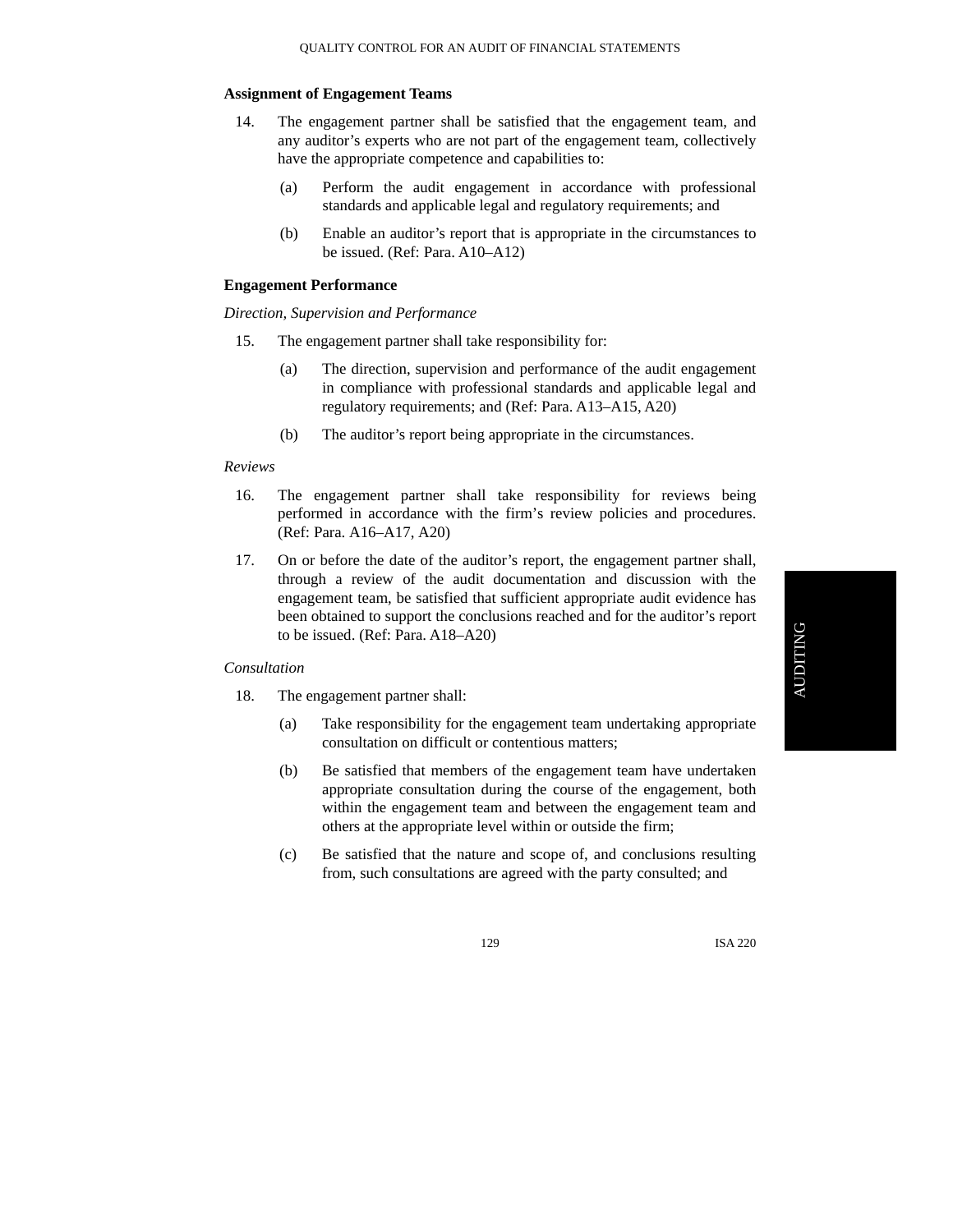#### **Assignment of Engagement Teams**

- 14. The engagement partner shall be satisfied that the engagement team, and any auditor's experts who are not part of the engagement team, collectively have the appropriate competence and capabilities to:
	- (a) Perform the audit engagement in accordance with professional standards and applicable legal and regulatory requirements; and
	- (b) Enable an auditor's report that is appropriate in the circumstances to be issued. (Ref: Para. A10–A12)

#### **Engagement Performance**

#### *Direction, Supervision and Performance*

- 15. The engagement partner shall take responsibility for:
	- (a) The direction, supervision and performance of the audit engagement in compliance with professional standards and applicable legal and regulatory requirements; and (Ref: Para. A13–A15, A20)
	- (b) The auditor's report being appropriate in the circumstances.

#### *Reviews*

- 16. The engagement partner shall take responsibility for reviews being performed in accordance with the firm's review policies and procedures. (Ref: Para. A16–A17, A20)
- 17. On or before the date of the auditor's report, the engagement partner shall, through a review of the audit documentation and discussion with the engagement team, be satisfied that sufficient appropriate audit evidence has been obtained to support the conclusions reached and for the auditor's report to be issued. (Ref: Para. A18–A20)

## *Consultation*

- 18. The engagement partner shall:
	- (a) Take responsibility for the engagement team undertaking appropriate consultation on difficult or contentious matters;
	- (b) Be satisfied that members of the engagement team have undertaken appropriate consultation during the course of the engagement, both within the engagement team and between the engagement team and others at the appropriate level within or outside the firm;
	- (c) Be satisfied that the nature and scope of, and conclusions resulting from, such consultations are agreed with the party consulted; and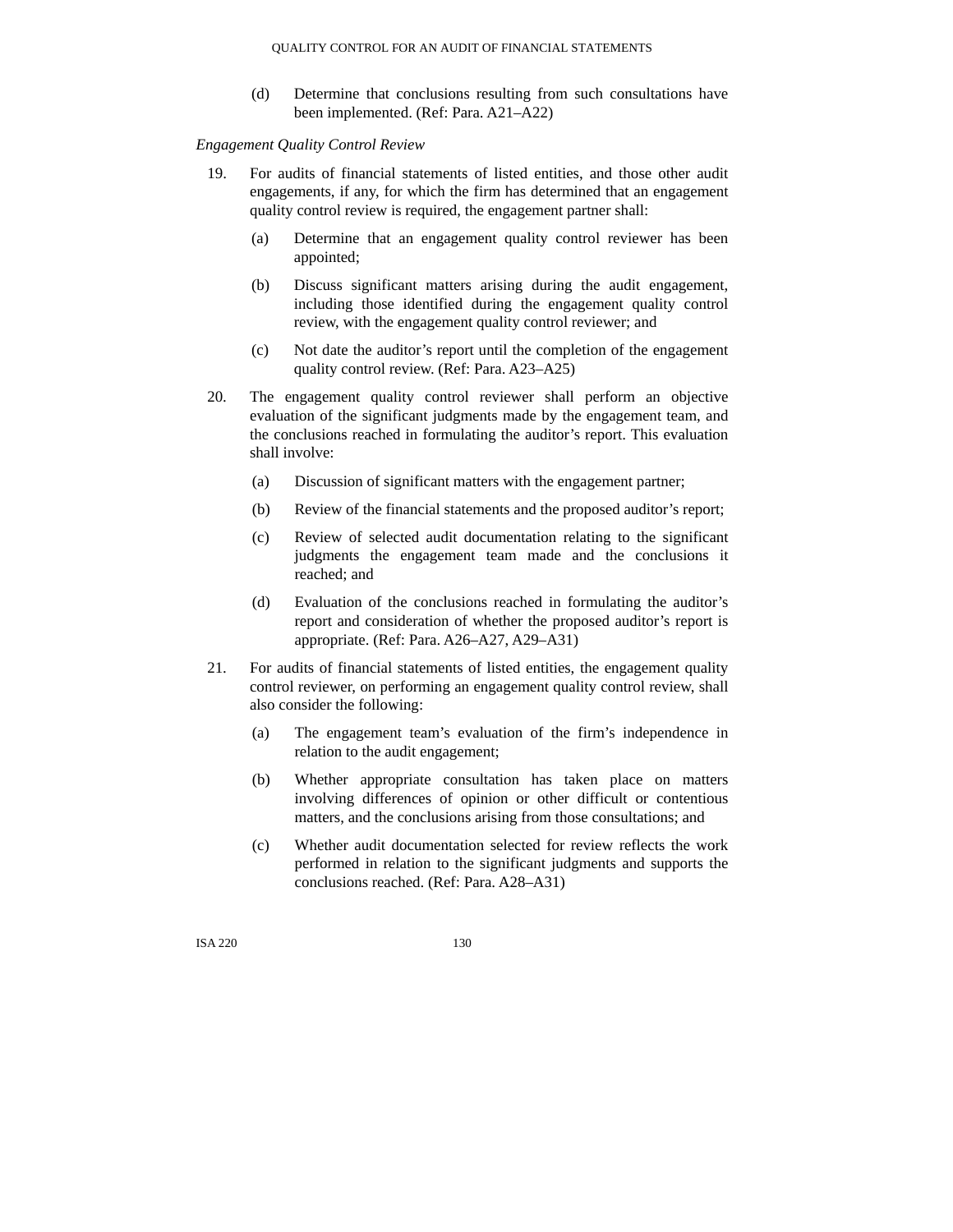(d) Determine that conclusions resulting from such consultations have been implemented. (Ref: Para. A21–A22)

## *Engagement Quality Control Review*

- 19. For audits of financial statements of listed entities, and those other audit engagements, if any, for which the firm has determined that an engagement quality control review is required, the engagement partner shall:
	- (a) Determine that an engagement quality control reviewer has been appointed;
	- (b) Discuss significant matters arising during the audit engagement, including those identified during the engagement quality control review, with the engagement quality control reviewer; and
	- (c) Not date the auditor's report until the completion of the engagement quality control review. (Ref: Para. A23–A25)
- 20. The engagement quality control reviewer shall perform an objective evaluation of the significant judgments made by the engagement team, and the conclusions reached in formulating the auditor's report. This evaluation shall involve:
	- (a) Discussion of significant matters with the engagement partner;
	- (b) Review of the financial statements and the proposed auditor's report;
	- (c) Review of selected audit documentation relating to the significant judgments the engagement team made and the conclusions it reached; and
	- (d) Evaluation of the conclusions reached in formulating the auditor's report and consideration of whether the proposed auditor's report is appropriate. (Ref: Para. A26–A27, A29–A31)
- 21. For audits of financial statements of listed entities, the engagement quality control reviewer, on performing an engagement quality control review, shall also consider the following:
	- (a) The engagement team's evaluation of the firm's independence in relation to the audit engagement;
	- (b) Whether appropriate consultation has taken place on matters involving differences of opinion or other difficult or contentious matters, and the conclusions arising from those consultations; and
	- (c) Whether audit documentation selected for review reflects the work performed in relation to the significant judgments and supports the conclusions reached. (Ref: Para. A28–A31)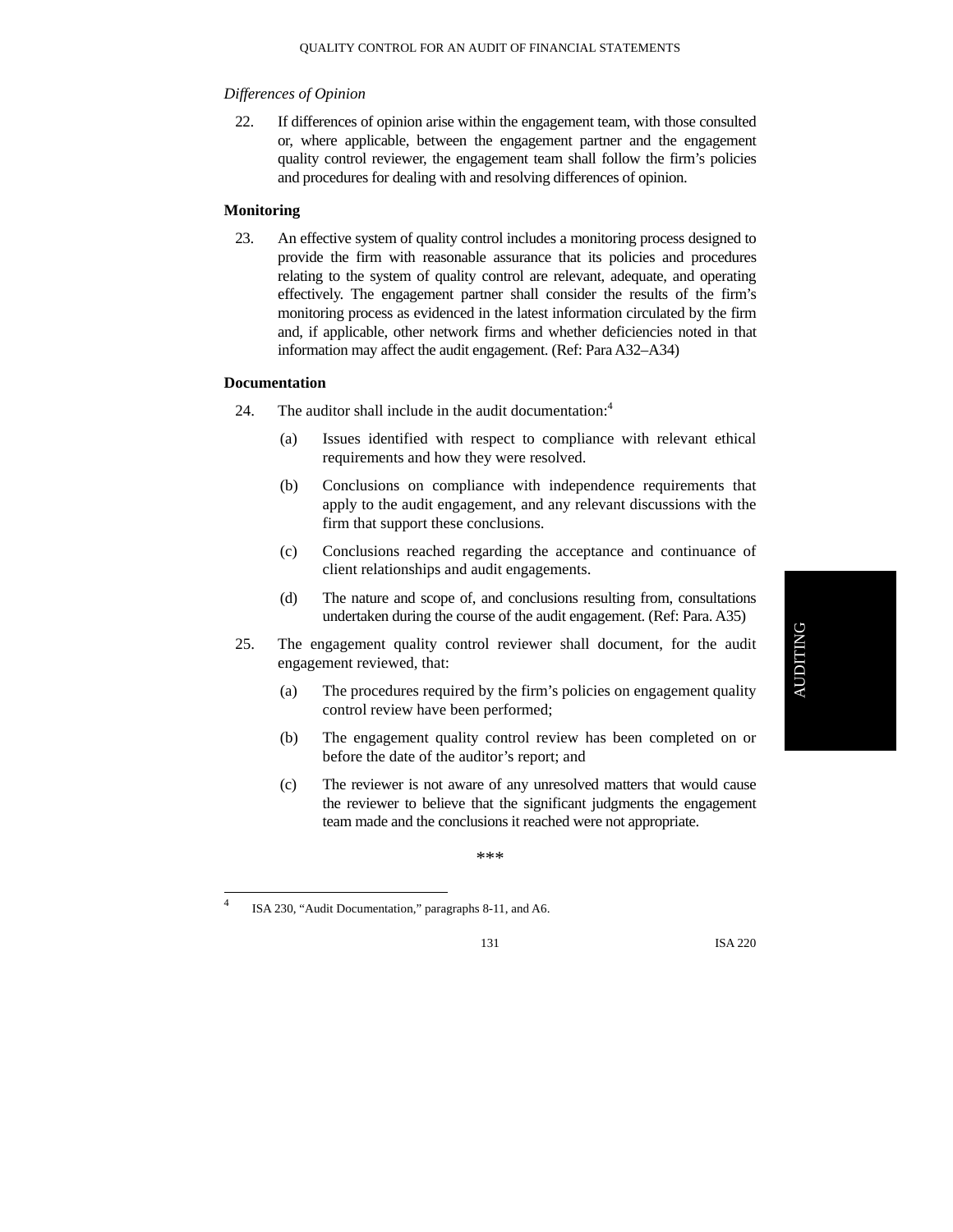#### *Differences of Opinion*

22. If differences of opinion arise within the engagement team, with those consulted or, where applicable, between the engagement partner and the engagement quality control reviewer, the engagement team shall follow the firm's policies and procedures for dealing with and resolving differences of opinion.

## **Monitoring**

23. An effective system of quality control includes a monitoring process designed to provide the firm with reasonable assurance that its policies and procedures relating to the system of quality control are relevant, adequate, and operating effectively. The engagement partner shall consider the results of the firm's monitoring process as evidenced in the latest information circulated by the firm and, if applicable, other network firms and whether deficiencies noted in that information may affect the audit engagement. (Ref: Para A32–A34)

## **Documentation**

- 24. The auditor shall include in the audit documentation:<sup>4</sup>
	- (a) Issues identified with respect to compliance with relevant ethical requirements and how they were resolved.
	- (b) Conclusions on compliance with independence requirements that apply to the audit engagement, and any relevant discussions with the firm that support these conclusions.
	- (c) Conclusions reached regarding the acceptance and continuance of client relationships and audit engagements.
	- (d) The nature and scope of, and conclusions resulting from, consultations undertaken during the course of the audit engagement. (Ref: Para. A35)
- 25. The engagement quality control reviewer shall document, for the audit engagement reviewed, that:
	- (a) The procedures required by the firm's policies on engagement quality control review have been performed;
	- (b) The engagement quality control review has been completed on or before the date of the auditor's report; and
	- (c) The reviewer is not aware of any unresolved matters that would cause the reviewer to believe that the significant judgments the engagement team made and the conclusions it reached were not appropriate.

\*\*\*

131 ISA 220

**AUDITING** 

 $\frac{1}{4}$ ISA 230, "Audit Documentation," paragraphs 8-11, and A6.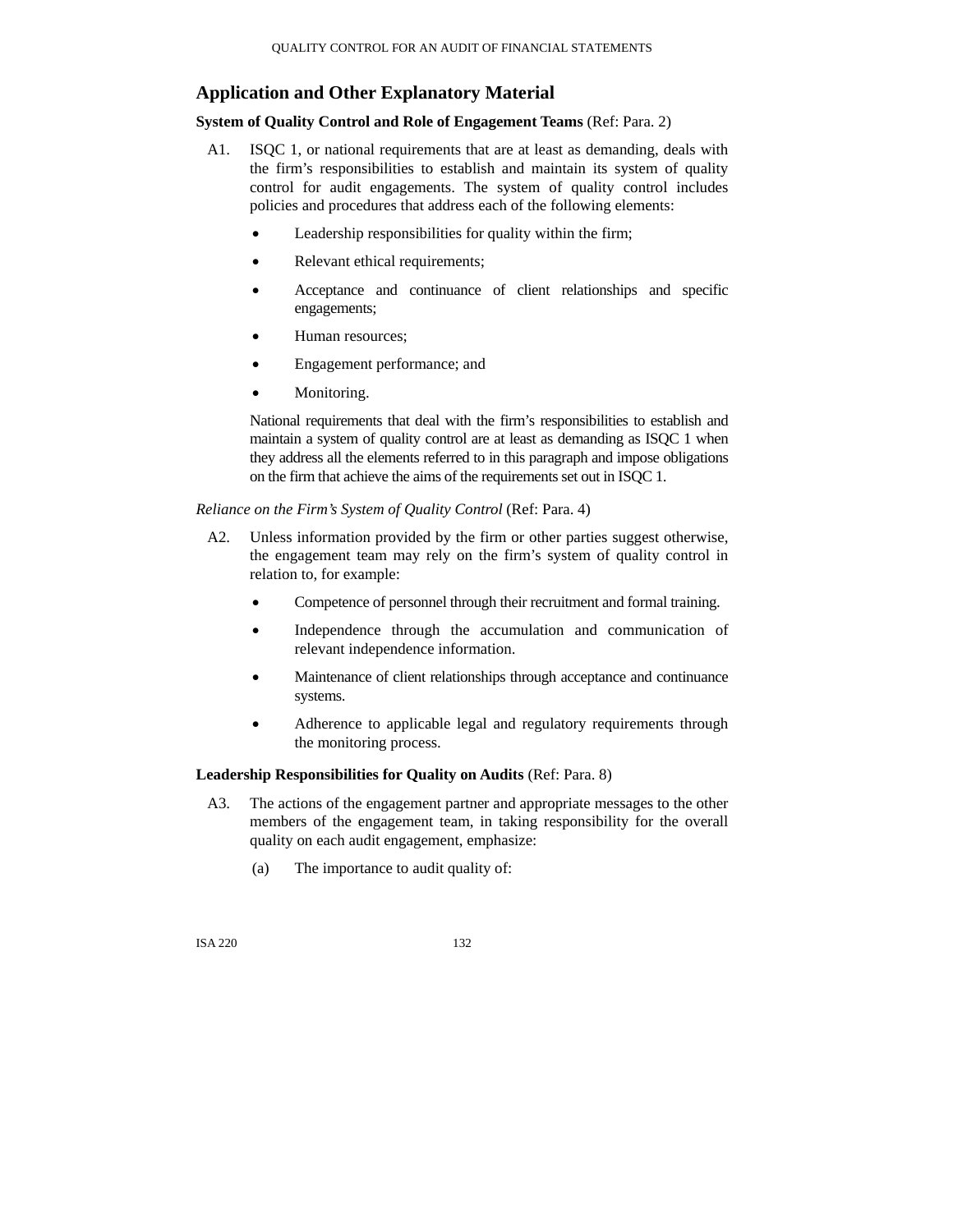## **Application and Other Explanatory Material**

**System of Quality Control and Role of Engagement Teams (Ref: Para. 2)** 

- A1. ISQC 1, or national requirements that are at least as demanding, deals with the firm's responsibilities to establish and maintain its system of quality control for audit engagements. The system of quality control includes policies and procedures that address each of the following elements:
	- Leadership responsibilities for quality within the firm;
	- Relevant ethical requirements;
	- Acceptance and continuance of client relationships and specific engagements;
	- Human resources;
	- Engagement performance; and
	- Monitoring.

 National requirements that deal with the firm's responsibilities to establish and maintain a system of quality control are at least as demanding as ISQC 1 when they address all the elements referred to in this paragraph and impose obligations on the firm that achieve the aims of the requirements set out in ISQC 1.

*Reliance on the Firm's System of Quality Control* (Ref: Para. 4)

- A2. Unless information provided by the firm or other parties suggest otherwise, the engagement team may rely on the firm's system of quality control in relation to, for example:
	- Competence of personnel through their recruitment and formal training.
	- Independence through the accumulation and communication of relevant independence information.
	- Maintenance of client relationships through acceptance and continuance systems.
	- Adherence to applicable legal and regulatory requirements through the monitoring process.

**Leadership Responsibilities for Quality on Audits** (Ref: Para. 8)

- A3. The actions of the engagement partner and appropriate messages to the other members of the engagement team, in taking responsibility for the overall quality on each audit engagement, emphasize:
	- (a) The importance to audit quality of: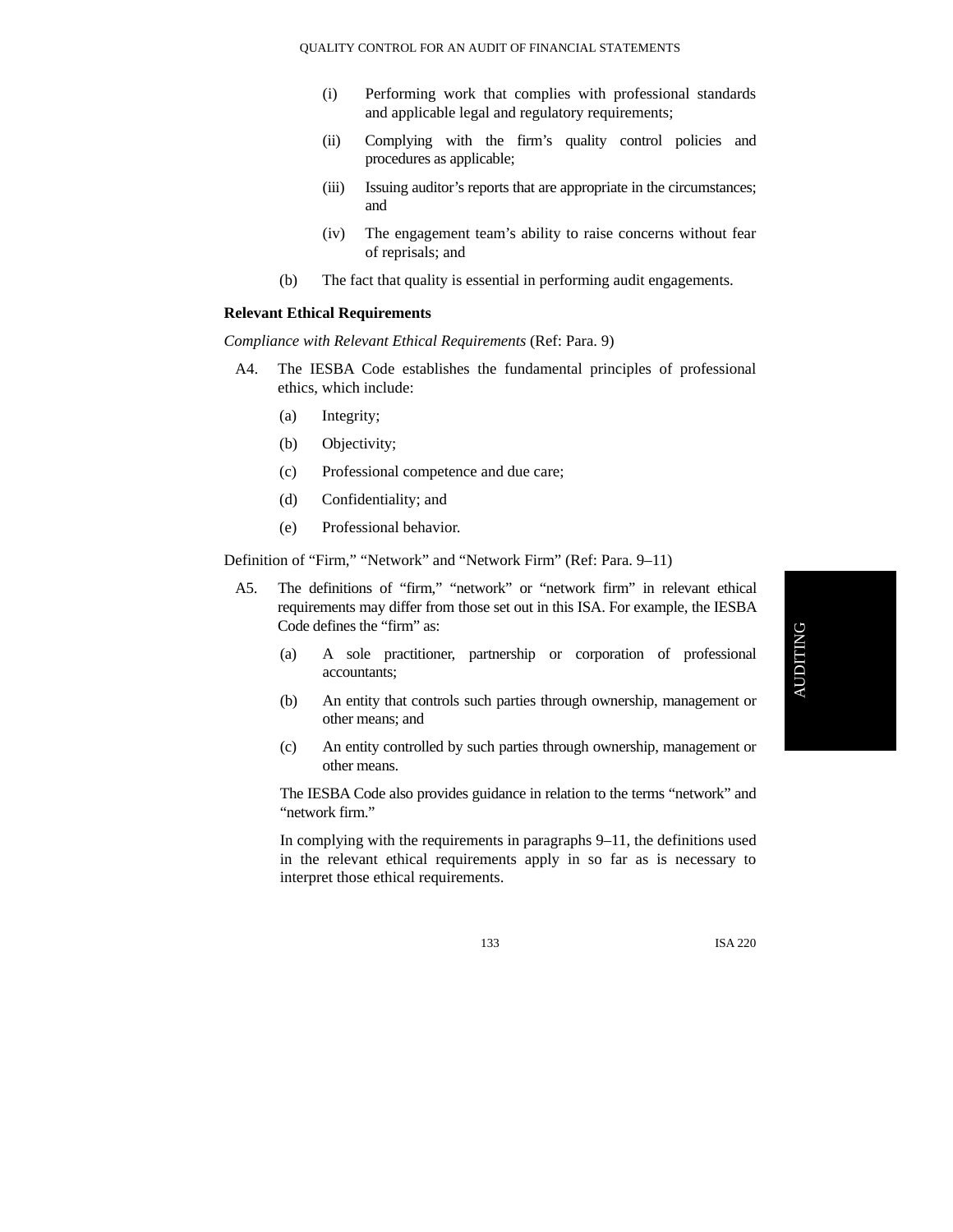- (i) Performing work that complies with professional standards and applicable legal and regulatory requirements;
- (ii) Complying with the firm's quality control policies and procedures as applicable;
- (iii) Issuing auditor's reports that are appropriate in the circumstances; and
- (iv) The engagement team's ability to raise concerns without fear of reprisals; and
- (b) The fact that quality is essential in performing audit engagements.

#### **Relevant Ethical Requirements**

*Compliance with Relevant Ethical Requirements* (Ref: Para. 9)

- A4. The IESBA Code establishes the fundamental principles of professional ethics, which include:
	- (a) Integrity;
	- (b) Objectivity;
	- (c) Professional competence and due care;
	- (d) Confidentiality; and
	- (e) Professional behavior.

Definition of "Firm," "Network" and "Network Firm" (Ref: Para. 9–11)

- A5. The definitions of "firm," "network" or "network firm" in relevant ethical requirements may differ from those set out in this ISA. For example, the IESBA Code defines the "firm" as:
	- (a) A sole practitioner, partnership or corporation of professional accountants;
	- (b) An entity that controls such parties through ownership, management or other means; and
	- (c) An entity controlled by such parties through ownership, management or other means.

The IESBA Code also provides guidance in relation to the terms "network" and "network firm."

In complying with the requirements in paragraphs 9–11, the definitions used in the relevant ethical requirements apply in so far as is necessary to interpret those ethical requirements.

AUDITING

**AUDITING**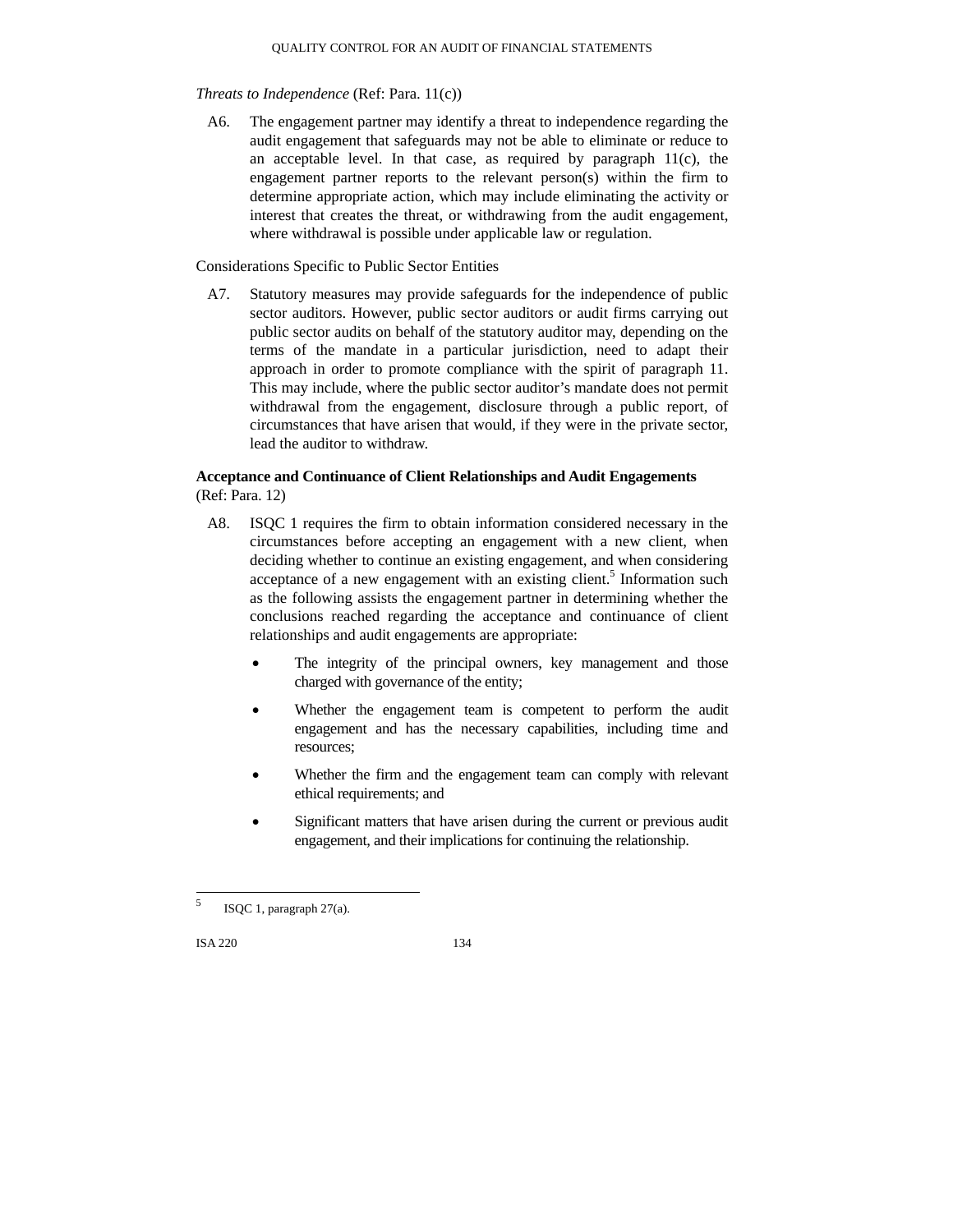### *Threats to Independence* (Ref: Para. 11(c))

A6. The engagement partner may identify a threat to independence regarding the audit engagement that safeguards may not be able to eliminate or reduce to an acceptable level. In that case, as required by paragraph  $11(c)$ , the engagement partner reports to the relevant person(s) within the firm to determine appropriate action, which may include eliminating the activity or interest that creates the threat, or withdrawing from the audit engagement, where withdrawal is possible under applicable law or regulation.

### Considerations Specific to Public Sector Entities

A7. Statutory measures may provide safeguards for the independence of public sector auditors. However, public sector auditors or audit firms carrying out public sector audits on behalf of the statutory auditor may, depending on the terms of the mandate in a particular jurisdiction, need to adapt their approach in order to promote compliance with the spirit of paragraph 11. This may include, where the public sector auditor's mandate does not permit withdrawal from the engagement, disclosure through a public report, of circumstances that have arisen that would, if they were in the private sector, lead the auditor to withdraw.

## **Acceptance and Continuance of Client Relationships and Audit Engagements**  (Ref: Para. 12)

- A8. ISQC 1 requires the firm to obtain information considered necessary in the circumstances before accepting an engagement with a new client, when deciding whether to continue an existing engagement, and when considering acceptance of a new engagement with an existing client.<sup>5</sup> Information such as the following assists the engagement partner in determining whether the conclusions reached regarding the acceptance and continuance of client relationships and audit engagements are appropriate:
	- The integrity of the principal owners, key management and those charged with governance of the entity;
	- Whether the engagement team is competent to perform the audit engagement and has the necessary capabilities, including time and resources;
	- Whether the firm and the engagement team can comply with relevant ethical requirements; and
	- Significant matters that have arisen during the current or previous audit engagement, and their implications for continuing the relationship.

 5 ISQC 1, paragraph 27(a).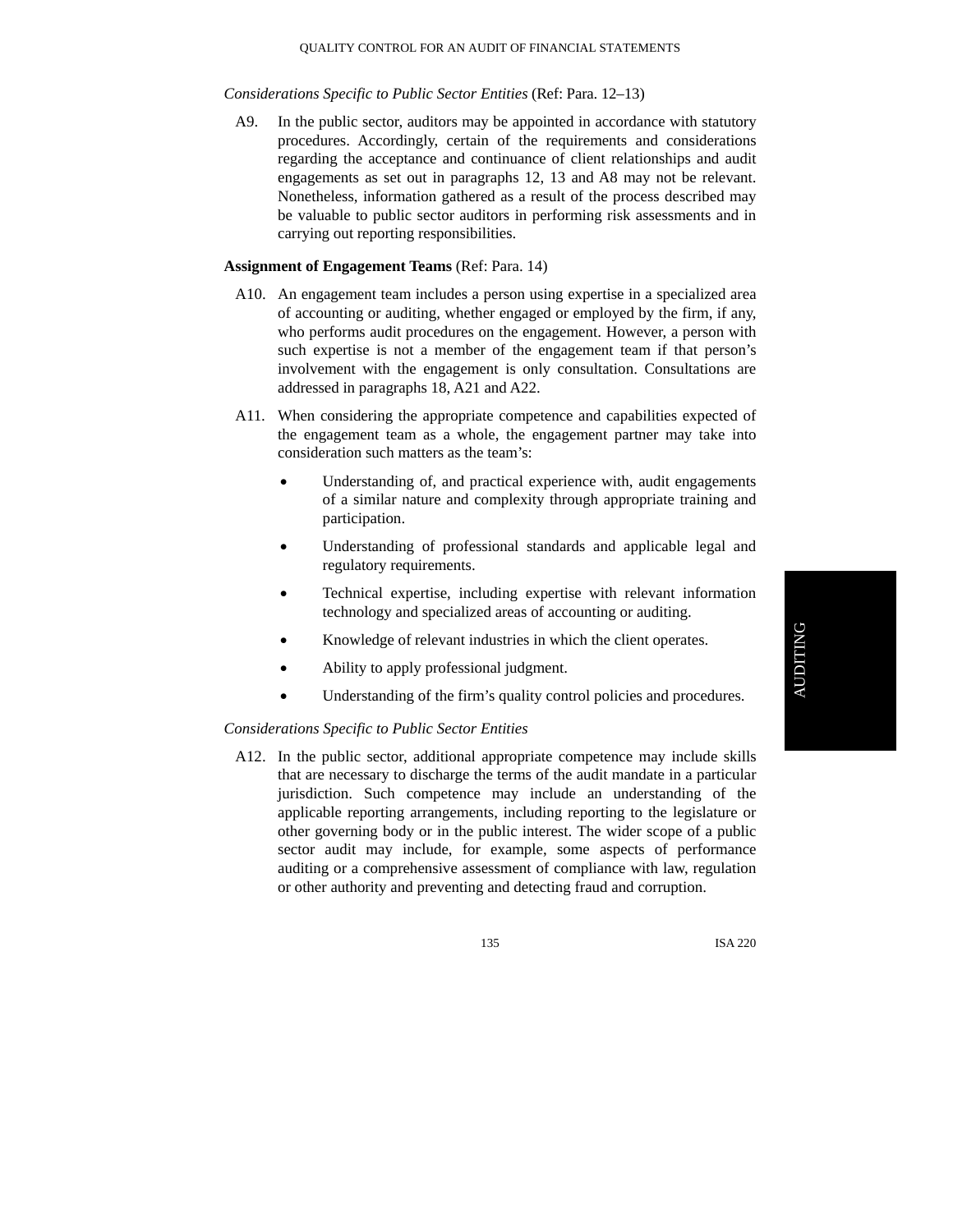#### *Considerations Specific to Public Sector Entities* (Ref: Para. 12–13)

A9. In the public sector, auditors may be appointed in accordance with statutory procedures. Accordingly, certain of the requirements and considerations regarding the acceptance and continuance of client relationships and audit engagements as set out in paragraphs 12, 13 and A8 may not be relevant. Nonetheless, information gathered as a result of the process described may be valuable to public sector auditors in performing risk assessments and in carrying out reporting responsibilities.

#### **Assignment of Engagement Teams** (Ref: Para. 14)

- A10. An engagement team includes a person using expertise in a specialized area of accounting or auditing, whether engaged or employed by the firm, if any, who performs audit procedures on the engagement. However, a person with such expertise is not a member of the engagement team if that person's involvement with the engagement is only consultation. Consultations are addressed in paragraphs 18, A21 and A22.
- A11. When considering the appropriate competence and capabilities expected of the engagement team as a whole, the engagement partner may take into consideration such matters as the team's:
	- Understanding of, and practical experience with, audit engagements of a similar nature and complexity through appropriate training and participation.
	- Understanding of professional standards and applicable legal and regulatory requirements.
	- Technical expertise, including expertise with relevant information technology and specialized areas of accounting or auditing.
	- Knowledge of relevant industries in which the client operates.
	- Ability to apply professional judgment.
	- Understanding of the firm's quality control policies and procedures.

#### *Considerations Specific to Public Sector Entities*

A12. In the public sector, additional appropriate competence may include skills that are necessary to discharge the terms of the audit mandate in a particular jurisdiction. Such competence may include an understanding of the applicable reporting arrangements, including reporting to the legislature or other governing body or in the public interest. The wider scope of a public sector audit may include, for example, some aspects of performance auditing or a comprehensive assessment of compliance with law, regulation or other authority and preventing and detecting fraud and corruption.

AUDITING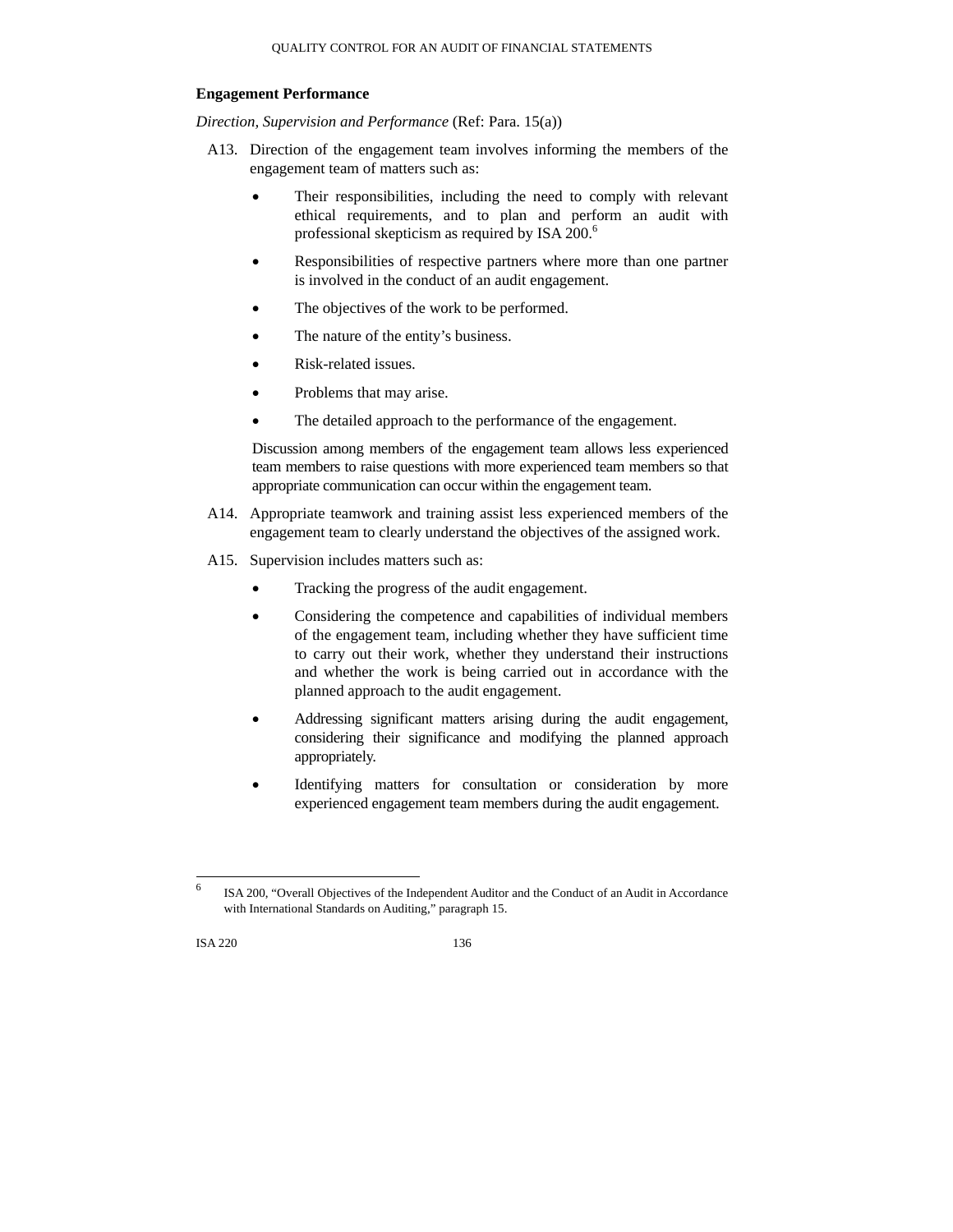#### **Engagement Performance**

*Direction, Supervision and Performance* (Ref: Para. 15(a))

- A13. Direction of the engagement team involves informing the members of the engagement team of matters such as:
	- Their responsibilities, including the need to comply with relevant ethical requirements, and to plan and perform an audit with professional skepticism as required by ISA 200.<sup>6</sup>
	- Responsibilities of respective partners where more than one partner is involved in the conduct of an audit engagement.
	- The objectives of the work to be performed.
	- The nature of the entity's business.
	- Risk-related issues.
	- Problems that may arise.
	- The detailed approach to the performance of the engagement.

 Discussion among members of the engagement team allows less experienced team members to raise questions with more experienced team members so that appropriate communication can occur within the engagement team.

- A14. Appropriate teamwork and training assist less experienced members of the engagement team to clearly understand the objectives of the assigned work.
- A15. Supervision includes matters such as:
	- Tracking the progress of the audit engagement.
	- Considering the competence and capabilities of individual members of the engagement team, including whether they have sufficient time to carry out their work, whether they understand their instructions and whether the work is being carried out in accordance with the planned approach to the audit engagement.
	- Addressing significant matters arising during the audit engagement, considering their significance and modifying the planned approach appropriately.
	- Identifying matters for consultation or consideration by more experienced engagement team members during the audit engagement.

|        | ۰. |
|--------|----|
| ×      |    |
| I      | I  |
| ×<br>٩ | ٧  |

 6 ISA 200, "Overall Objectives of the Independent Auditor and the Conduct of an Audit in Accordance with International Standards on Auditing," paragraph 15.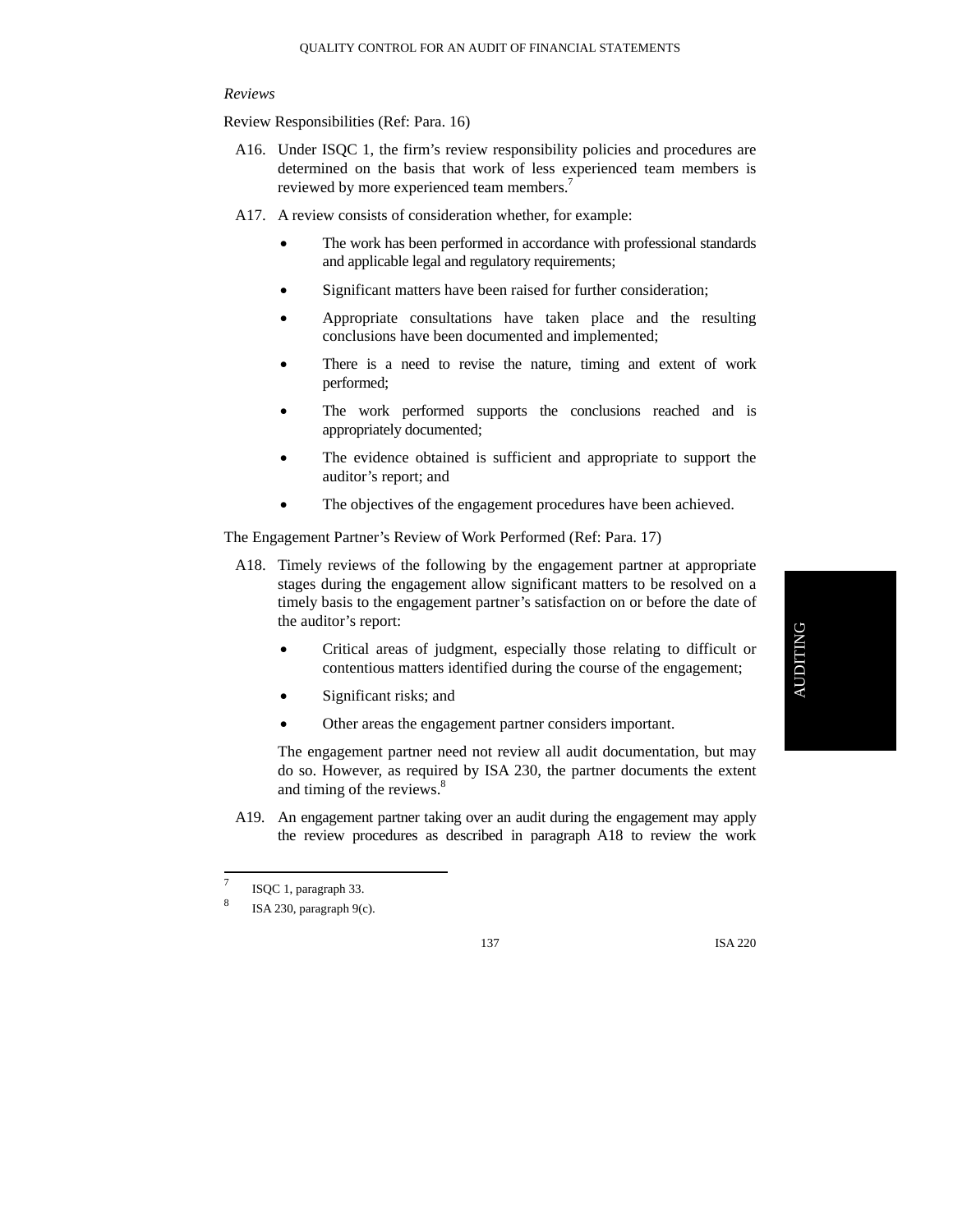#### *Reviews*

Review Responsibilities (Ref: Para. 16)

- A16. Under ISQC 1, the firm's review responsibility policies and procedures are determined on the basis that work of less experienced team members is reviewed by more experienced team members.<sup>7</sup>
- A17. A review consists of consideration whether, for example:
	- The work has been performed in accordance with professional standards and applicable legal and regulatory requirements;
	- Significant matters have been raised for further consideration;
	- Appropriate consultations have taken place and the resulting conclusions have been documented and implemented;
	- There is a need to revise the nature, timing and extent of work performed;
	- The work performed supports the conclusions reached and is appropriately documented;
	- The evidence obtained is sufficient and appropriate to support the auditor's report; and
	- The objectives of the engagement procedures have been achieved.

The Engagement Partner's Review of Work Performed (Ref: Para. 17)

- A18. Timely reviews of the following by the engagement partner at appropriate stages during the engagement allow significant matters to be resolved on a timely basis to the engagement partner's satisfaction on or before the date of the auditor's report:
	- Critical areas of judgment, especially those relating to difficult or contentious matters identified during the course of the engagement;
	- Significant risks; and
	- Other areas the engagement partner considers important.

The engagement partner need not review all audit documentation, but may do so. However, as required by ISA 230, the partner documents the extent and timing of the reviews. $8<sup>8</sup>$ 

A19. An engagement partner taking over an audit during the engagement may apply the review procedures as described in paragraph A18 to review the work



137 ISA 220

AUDITING

<sup>-&</sup>lt;br>7 ISQC 1, paragraph 33.

<sup>&</sup>lt;sup>8</sup> ISA 230, paragraph 9(c).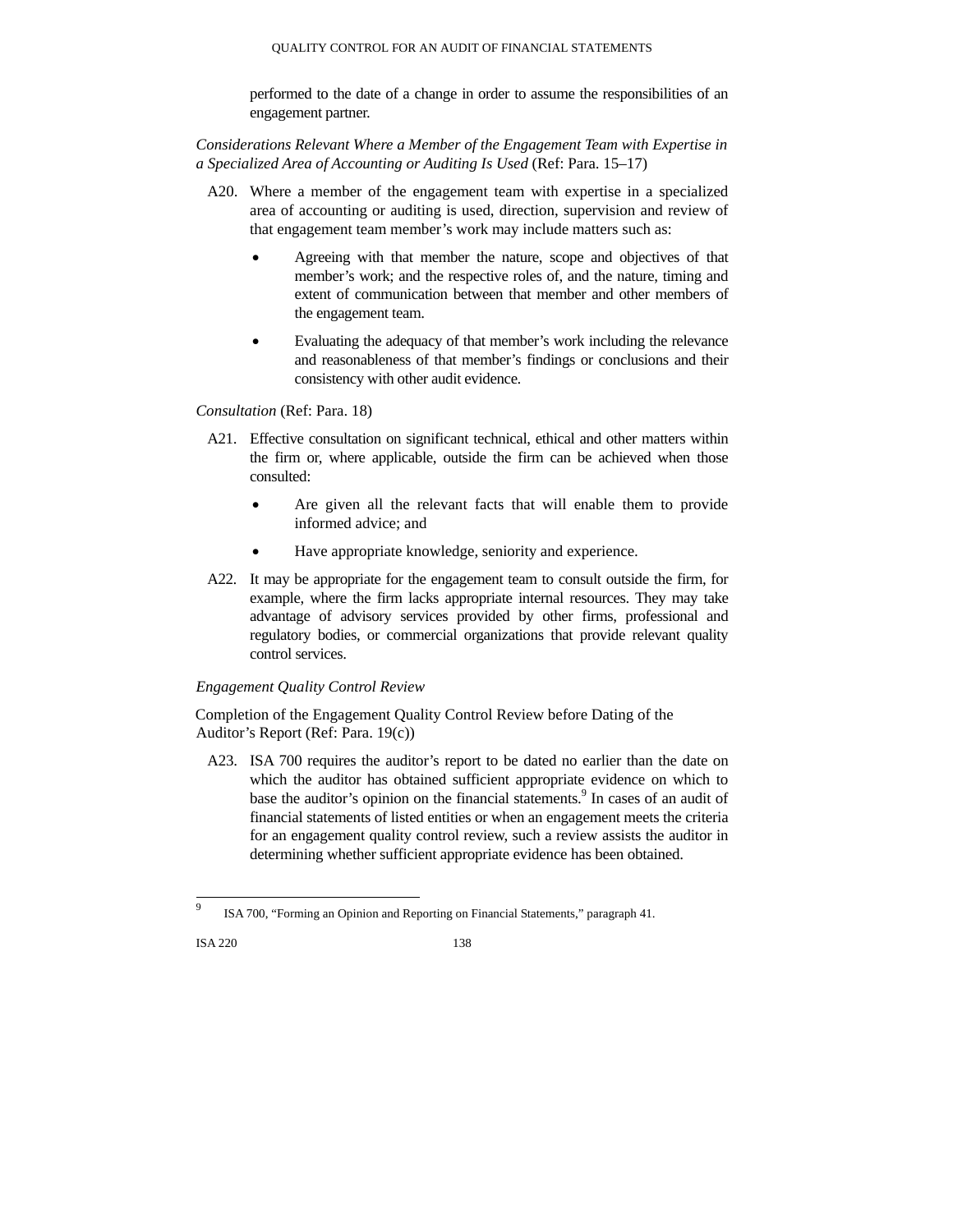performed to the date of a change in order to assume the responsibilities of an engagement partner.

*Considerations Relevant Where a Member of the Engagement Team with Expertise in a Specialized Area of Accounting or Auditing Is Used* (Ref: Para. 15–17)

- A20. Where a member of the engagement team with expertise in a specialized area of accounting or auditing is used, direction, supervision and review of that engagement team member's work may include matters such as:
	- Agreeing with that member the nature, scope and objectives of that member's work; and the respective roles of, and the nature, timing and extent of communication between that member and other members of the engagement team.
	- Evaluating the adequacy of that member's work including the relevance and reasonableness of that member's findings or conclusions and their consistency with other audit evidence.

## *Consultation* (Ref: Para. 18)

- A21. Effective consultation on significant technical, ethical and other matters within the firm or, where applicable, outside the firm can be achieved when those consulted:
	- Are given all the relevant facts that will enable them to provide informed advice; and
	- Have appropriate knowledge, seniority and experience.
- A22. It may be appropriate for the engagement team to consult outside the firm, for example, where the firm lacks appropriate internal resources. They may take advantage of advisory services provided by other firms, professional and regulatory bodies, or commercial organizations that provide relevant quality control services.

### *Engagement Quality Control Review*

Completion of the Engagement Quality Control Review before Dating of the Auditor's Report (Ref: Para. 19(c))

A23. ISA 700 requires the auditor's report to be dated no earlier than the date on which the auditor has obtained sufficient appropriate evidence on which to base the auditor's opinion on the financial statements.<sup>9</sup> In cases of an audit of financial statements of listed entities or when an engagement meets the criteria for an engagement quality control review, such a review assists the auditor in determining whether sufficient appropriate evidence has been obtained.

<sup>-&</sup>lt;br>9 ISA 700, "Forming an Opinion and Reporting on Financial Statements," paragraph 41.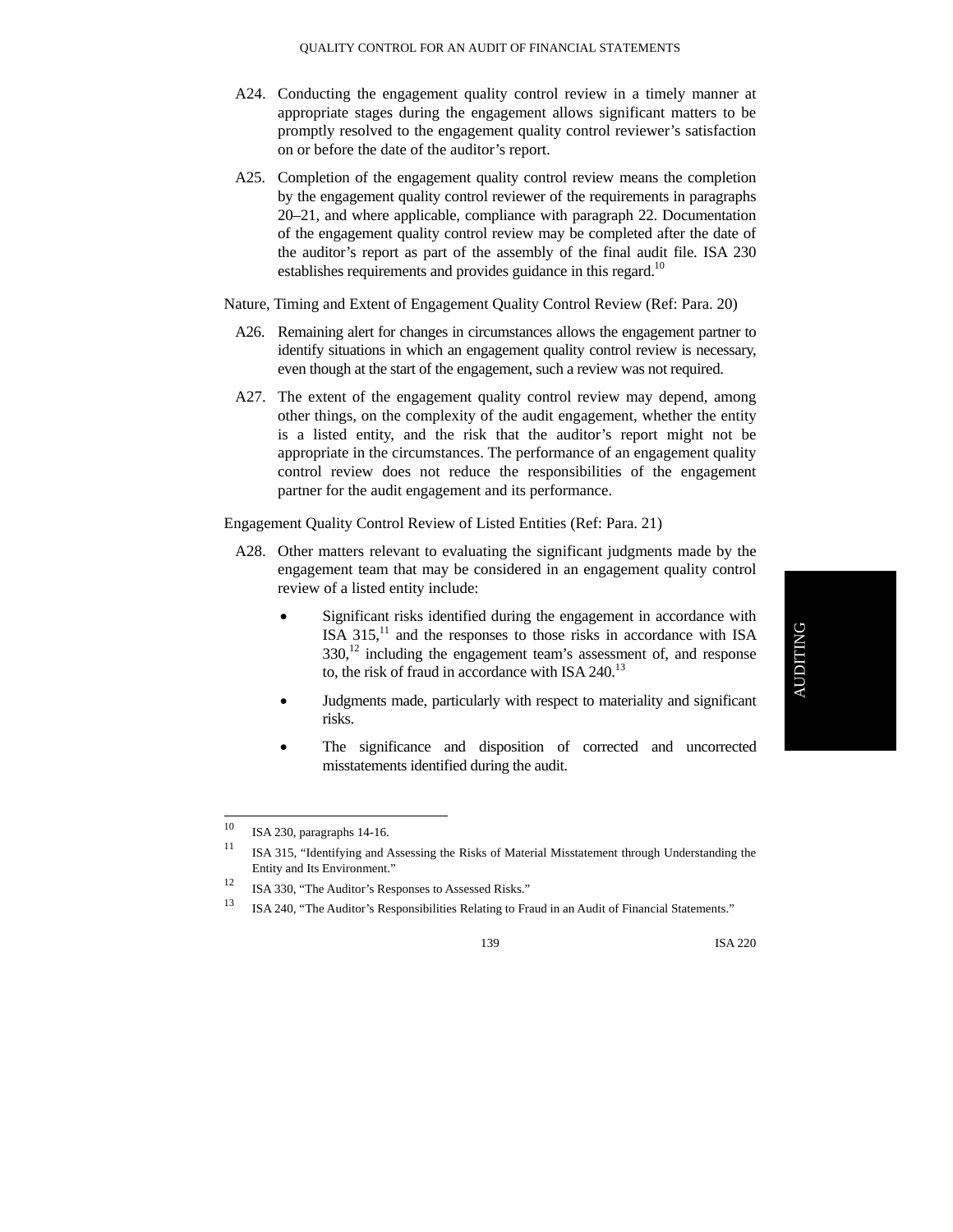- A24. Conducting the engagement quality control review in a timely manner at appropriate stages during the engagement allows significant matters to be promptly resolved to the engagement quality control reviewer's satisfaction on or before the date of the auditor's report.
- A25. Completion of the engagement quality control review means the completion by the engagement quality control reviewer of the requirements in paragraphs 20–21, and where applicable, compliance with paragraph 22. Documentation of the engagement quality control review may be completed after the date of the auditor's report as part of the assembly of the final audit file. ISA 230 establishes requirements and provides guidance in this regard.<sup>10</sup>

#### Nature, Timing and Extent of Engagement Quality Control Review (Ref: Para. 20)

- A26. Remaining alert for changes in circumstances allows the engagement partner to identify situations in which an engagement quality control review is necessary, even though at the start of the engagement, such a review was not required.
- A27. The extent of the engagement quality control review may depend, among other things, on the complexity of the audit engagement, whether the entity is a listed entity, and the risk that the auditor's report might not be appropriate in the circumstances. The performance of an engagement quality control review does not reduce the responsibilities of the engagement partner for the audit engagement and its performance.

Engagement Quality Control Review of Listed Entities (Ref: Para. 21)

- A28. Other matters relevant to evaluating the significant judgments made by the engagement team that may be considered in an engagement quality control review of a listed entity include:
	- Significant risks identified during the engagement in accordance with ISA  $315<sup>11</sup>$  and the responses to those risks in accordance with ISA  $330$ ,<sup>12</sup> including the engagement team's assessment of, and response to, the risk of fraud in accordance with ISA  $240^{13}$
	- Judgments made, particularly with respect to materiality and significant risks.
	- The significance and disposition of corrected and uncorrected misstatements identified during the audit.

<sup>&</sup>lt;sup>13</sup> ISA 240, "The Auditor's Responsibilities Relating to Fraud in an Audit of Financial Statements."



139 ISA 220

AUDITING

<sup>10</sup> 10 ISA 230, paragraphs 14-16.

<sup>&</sup>lt;sup>11</sup> ISA 315, "Identifying and Assessing the Risks of Material Misstatement through Understanding the Entity and Its Environment."

<sup>12</sup> ISA 330, "The Auditor's Responses to Assessed Risks."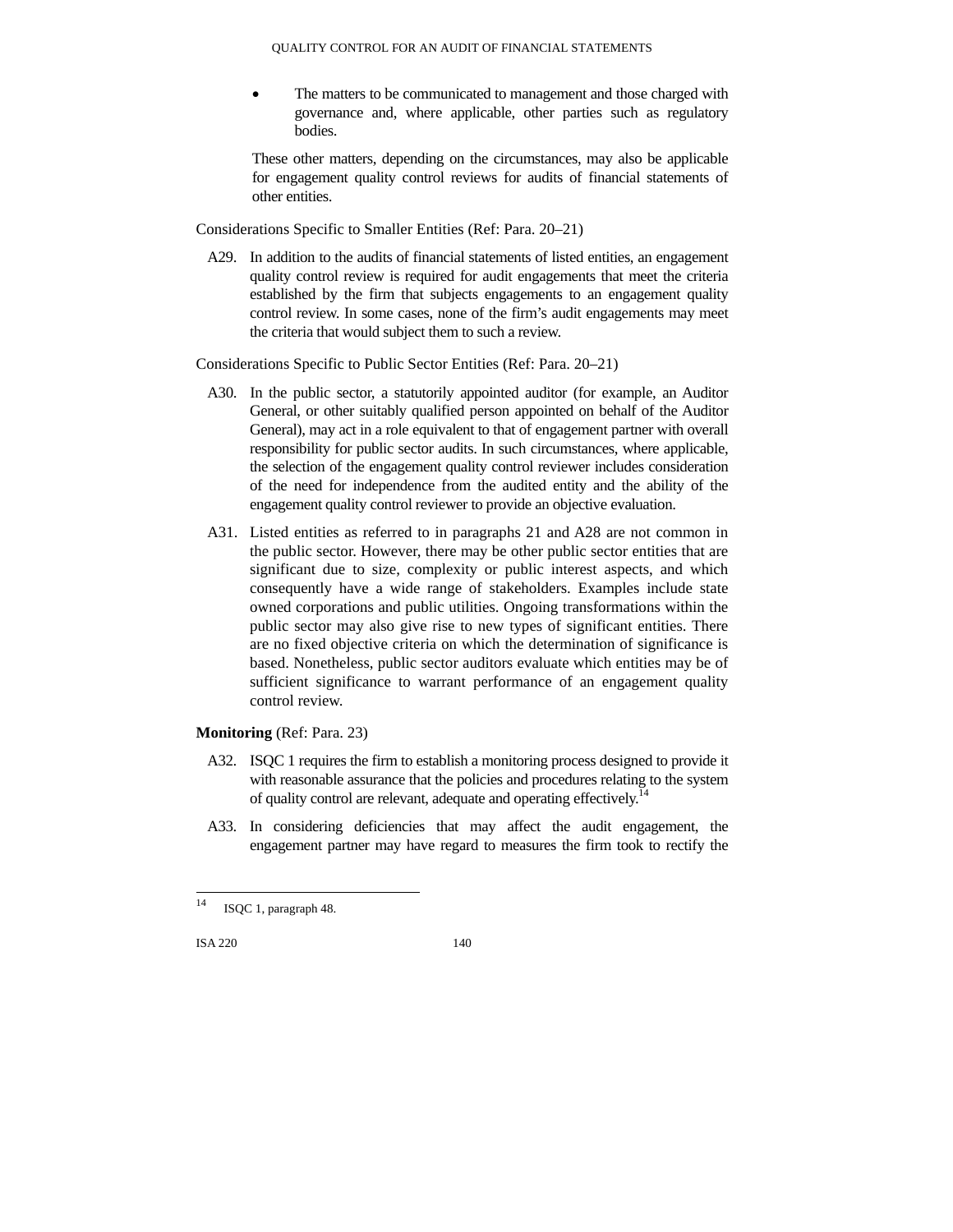The matters to be communicated to management and those charged with governance and, where applicable, other parties such as regulatory bodies.

These other matters, depending on the circumstances, may also be applicable for engagement quality control reviews for audits of financial statements of other entities.

Considerations Specific to Smaller Entities (Ref: Para. 20–21)

A29. In addition to the audits of financial statements of listed entities, an engagement quality control review is required for audit engagements that meet the criteria established by the firm that subjects engagements to an engagement quality control review. In some cases, none of the firm's audit engagements may meet the criteria that would subject them to such a review.

Considerations Specific to Public Sector Entities (Ref: Para. 20–21)

- A30. In the public sector, a statutorily appointed auditor (for example, an Auditor General, or other suitably qualified person appointed on behalf of the Auditor General), may act in a role equivalent to that of engagement partner with overall responsibility for public sector audits. In such circumstances, where applicable, the selection of the engagement quality control reviewer includes consideration of the need for independence from the audited entity and the ability of the engagement quality control reviewer to provide an objective evaluation.
- A31. Listed entities as referred to in paragraphs 21 and A28 are not common in the public sector. However, there may be other public sector entities that are significant due to size, complexity or public interest aspects, and which consequently have a wide range of stakeholders. Examples include state owned corporations and public utilities. Ongoing transformations within the public sector may also give rise to new types of significant entities. There are no fixed objective criteria on which the determination of significance is based. Nonetheless, public sector auditors evaluate which entities may be of sufficient significance to warrant performance of an engagement quality control review.

**Monitoring** (Ref: Para. 23)

- A32. ISQC 1 requires the firm to establish a monitoring process designed to provide it with reasonable assurance that the policies and procedures relating to the system of quality control are relevant, adequate and operating effectively.<sup>14</sup>
- A33. In considering deficiencies that may affect the audit engagement, the engagement partner may have regard to measures the firm took to rectify the

 $14$ ISQC 1, paragraph 48.